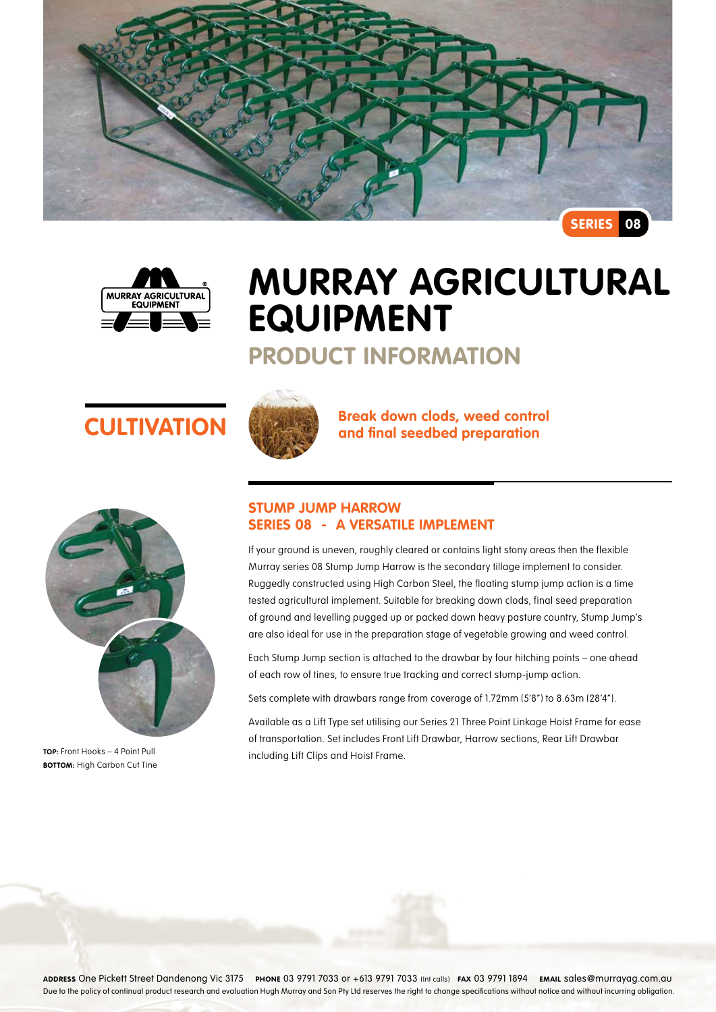



# **Murray Agricultural Equipment**

## **Product Information**





**TOP:** Front Hooks – 4 Point Pull **BOTTOM:** High Carbon Cut Tine



**CULTIVATION Break down clods, weed control and final seedbed preparation** 

### **Stump Jump Harrow Series 08 - A versatile implement**

If your ground is uneven, roughly cleared or contains light stony areas then the flexible Murray series 08 Stump Jump Harrow is the secondary tillage implement to consider. Ruggedly constructed using High Carbon Steel, the floating stump jump action is a time tested agricultural implement. Suitable for breaking down clods, final seed preparation of ground and levelling pugged up or packed down heavy pasture country, Stump Jump's are also ideal for use in the preparation stage of vegetable growing and weed control.

Each Stump Jump section is attached to the drawbar by four hitching points – one ahead of each row of tines, to ensure true tracking and correct stump-jump action.

Sets complete with drawbars range from coverage of 1.72mm (5'8") to 8.63m (28'4").

Available as a Lift Type set utilising our Series 21 Three Point Linkage Hoist Frame for ease of transportation. Set includes Front Lift Drawbar, Harrow sections, Rear Lift Drawbar including Lift Clips and Hoist Frame.

**Address** One Pickett Street Dandenong Vic 3175 **Phone** 03 9791 7033 or +613 9791 7033 (Int calls) **Fax** 03 9791 1894 **Email** sales@murrayag.com.au Due to the policy of continual product research and evaluation Hugh Murray and Son Pty Ltd reserves the right to change specifications without notice and without incurring obligation.